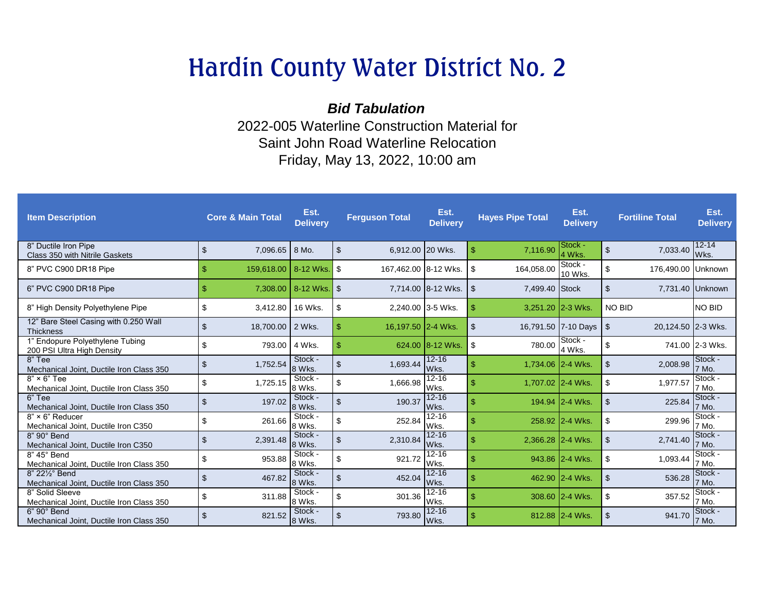## Hardin County Water District No. 2

*Bid Tabulation* 2022-005 Waterline Construction Material for Saint John Road Waterline Relocation Friday, May 13, 2022, 10:00 am

| <b>Item Description</b>                                           |                | <b>Core &amp; Main Total</b> | Est.<br><b>Delivery</b> |                | <b>Ferguson Total</b> | Est.<br><b>Delivery</b> |                | <b>Hayes Pipe Total</b> | Est.<br><b>Delivery</b> | <b>Fortiline Total</b>     | Est.<br><b>Delivery</b> |
|-------------------------------------------------------------------|----------------|------------------------------|-------------------------|----------------|-----------------------|-------------------------|----------------|-------------------------|-------------------------|----------------------------|-------------------------|
| 8" Ductile Iron Pipe<br>Class 350 with Nitrile Gaskets            | \$             | 7,096.65                     | 8 Mo.                   | $\mathfrak{F}$ | 6,912.00 20 Wks.      |                         | -\$            | 7,116.90                | Stock -<br>4 Wks.       | $\mathfrak{S}$<br>7,033.40 | $12 - 14$<br>Wks.       |
| 8" PVC C900 DR18 Pipe                                             | -\$            | 159,618.00 8-12 Wks.         |                         | <b>S</b>       | 167,462.00 8-12 Wks.  |                         | -\$            | 164,058.00              | Stock -<br>10 Wks.      | \$<br>176,490.00 Unknown   |                         |
| 6" PVC C900 DR18 Pipe                                             | $\mathbf{\$}$  | 7.308.00                     | 8-12 Wks.               | $\sqrt{3}$     |                       | 7.714.00 8-12 Wks.      | \$             | 7,499.40 Stock          |                         | $\mathfrak{S}$             | 7,731.40 Unknown        |
| 8" High Density Polyethylene Pipe                                 | -S             | 3,412.80                     | 16 Wks.                 | \$             | 2,240.00 3-5 Wks.     |                         | $\mathfrak{S}$ | 3,251.20 2-3 Wks.       |                         | <b>NO BID</b>              | <b>NO BID</b>           |
| 12" Bare Steel Casing with 0.250 Wall<br><b>Thickness</b>         | $\mathfrak{L}$ | 18,700.00 2 Wks.             |                         | -\$            | 16,197.50 2-4 Wks.    |                         | $\mathfrak{F}$ |                         | 16,791.50 7-10 Days     | l \$<br>20,124.50 2-3 Wks. |                         |
| <b>Endopure Polyethylene Tubing</b><br>200 PSI Ultra High Density | $\sqrt[6]{2}$  | 793.00                       | 4 Wks.                  | $\mathbf{\$}$  |                       | 624.00 8-12 Wks.        | -\$            | 780.00                  | Stock -<br>4 Wks.       | \$                         | 741.00 2-3 Wks.         |
| 8" Tee<br>Mechanical Joint, Ductile Iron Class 350                | -\$            | 1,752.54                     | Stock -<br>8 Wks.       | $\mathfrak{L}$ | 1,693.44              | $12 - 16$<br>Wks.       | \$             | 1.734.06 2-4 Wks.       |                         | $\mathfrak{S}$<br>2,008.98 | Stock -<br>7 Mo.        |
| $8" \times 6"$ Tee<br>Mechanical Joint. Ductile Iron Class 350    | \$             | 1,725.15                     | Stock -<br>8 Wks.       | $\mathfrak{L}$ | 1,666.98              | $12 - 16$<br>Wks.       | \$             | 1,707.02 2-4 Wks.       |                         | \$<br>1,977.57             | Stock -<br>7 Mo.        |
| 6" Tee<br>Mechanical Joint. Ductile Iron Class 350                | -\$            | 197.02                       | Stock -<br>8 Wks.       | $\mathfrak{L}$ | 190.37                | $12 - 16$<br>Wks.       | \$             |                         | 194.94 2-4 Wks.         | $\mathfrak{L}$<br>225.84   | Stock -<br>7 Mo.        |
| $8" \times 6"$ Reducer<br>Mechanical Joint, Ductile Iron C350     | \$             | 261.66                       | Stock -<br>8 Wks.       | \$             | 252.84                | $12 - 16$<br>Wks.       | \$             |                         | 258.92 2-4 Wks.         | \$<br>299.96               | Stock -<br>7 Mo.        |
| $8"90°$ Bend<br>Mechanical Joint, Ductile Iron C350               | \$             | 2.391.48                     | Stock -<br>8 Wks.       | $\mathfrak{S}$ | 2,310.84              | $12 - 16$<br>Wks.       | \$.            | 2,366.28 2-4 Wks.       |                         | $\mathfrak{L}$<br>2.741.40 | Stock -<br>7 Mo.        |
| 8" 45° Bend<br>Mechanical Joint, Ductile Iron Class 350           | \$             | 953.88                       | Stock -<br>8 Wks.       | \$             | 921.72                | $12 - 16$<br>Wks.       |                |                         | 943.86 2-4 Wks.         | \$<br>1,093.44             | Stock -<br>7 Mo.        |
| 8" 221/2° Bend<br>Mechanical Joint, Ductile Iron Class 350        | -\$            | 467.82                       | Stock -<br>8 Wks.       | $\mathfrak{L}$ | 452.04                | $12 - 16$<br>Wks.       | \$             |                         | 462.90 2-4 Wks.         | $\mathfrak{F}$<br>536.28   | Stock -<br>7 Mo.        |
| 8" Solid Sleeve<br>Mechanical Joint, Ductile Iron Class 350       | \$             | 311.88                       | Stock -<br>8 Wks.       | \$             | 301.36                | $12 - 16$<br>Wks.       | \$.            |                         | 308.60 2-4 Wks.         | \$<br>357.52               | <b>Stock</b><br>7 Mo.   |
| 6" 90° Bend<br>Mechanical Joint, Ductile Iron Class 350           | \$             | 821.52                       | Stock -<br>8 Wks.       | $\mathfrak{L}$ | 793.80                | $12 - 16$<br>Wks.       | \$             |                         | 812.88 2-4 Wks.         | $\mathfrak{L}$<br>941.70   | Stock -<br>7 Mo.        |